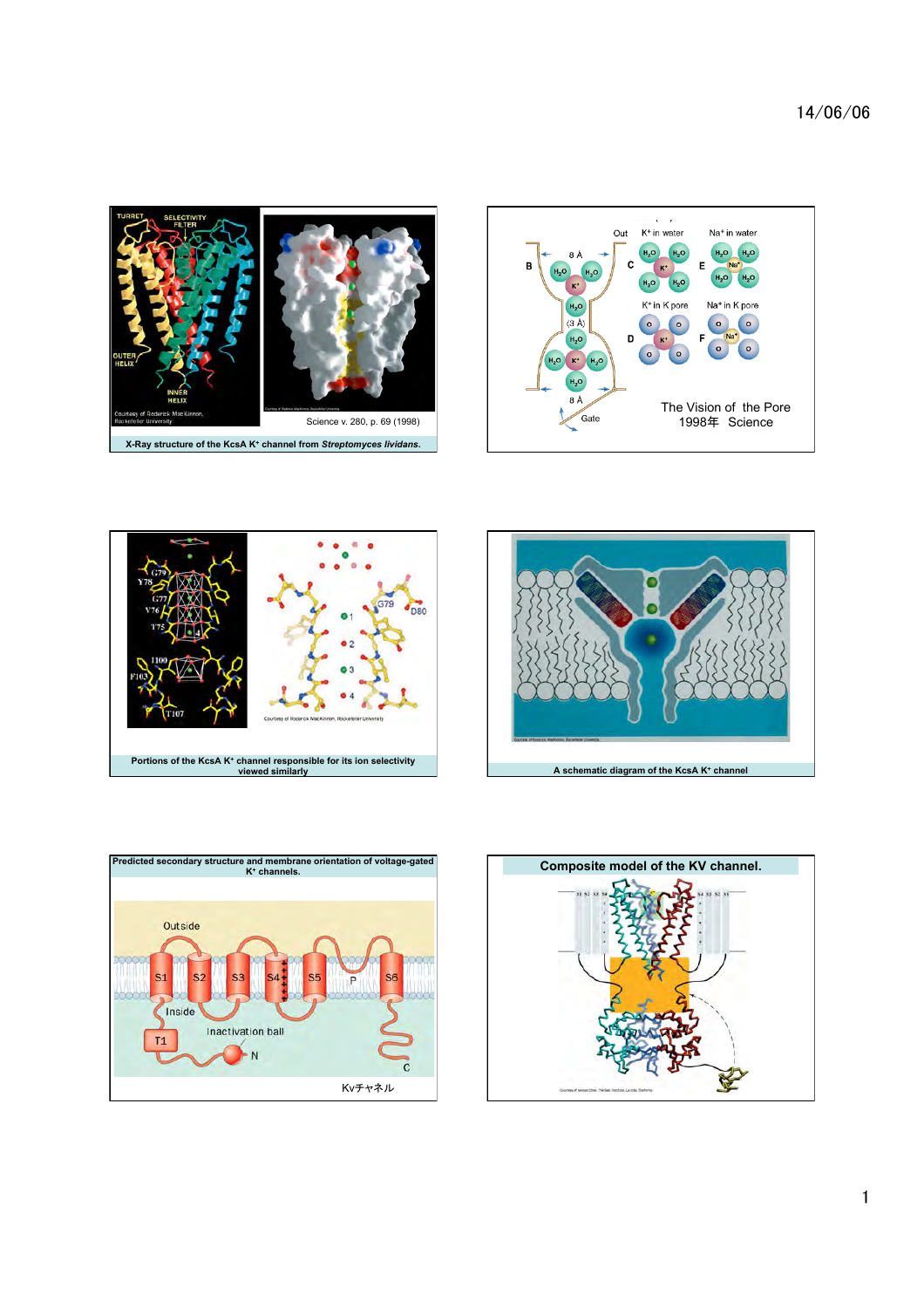14/06/06











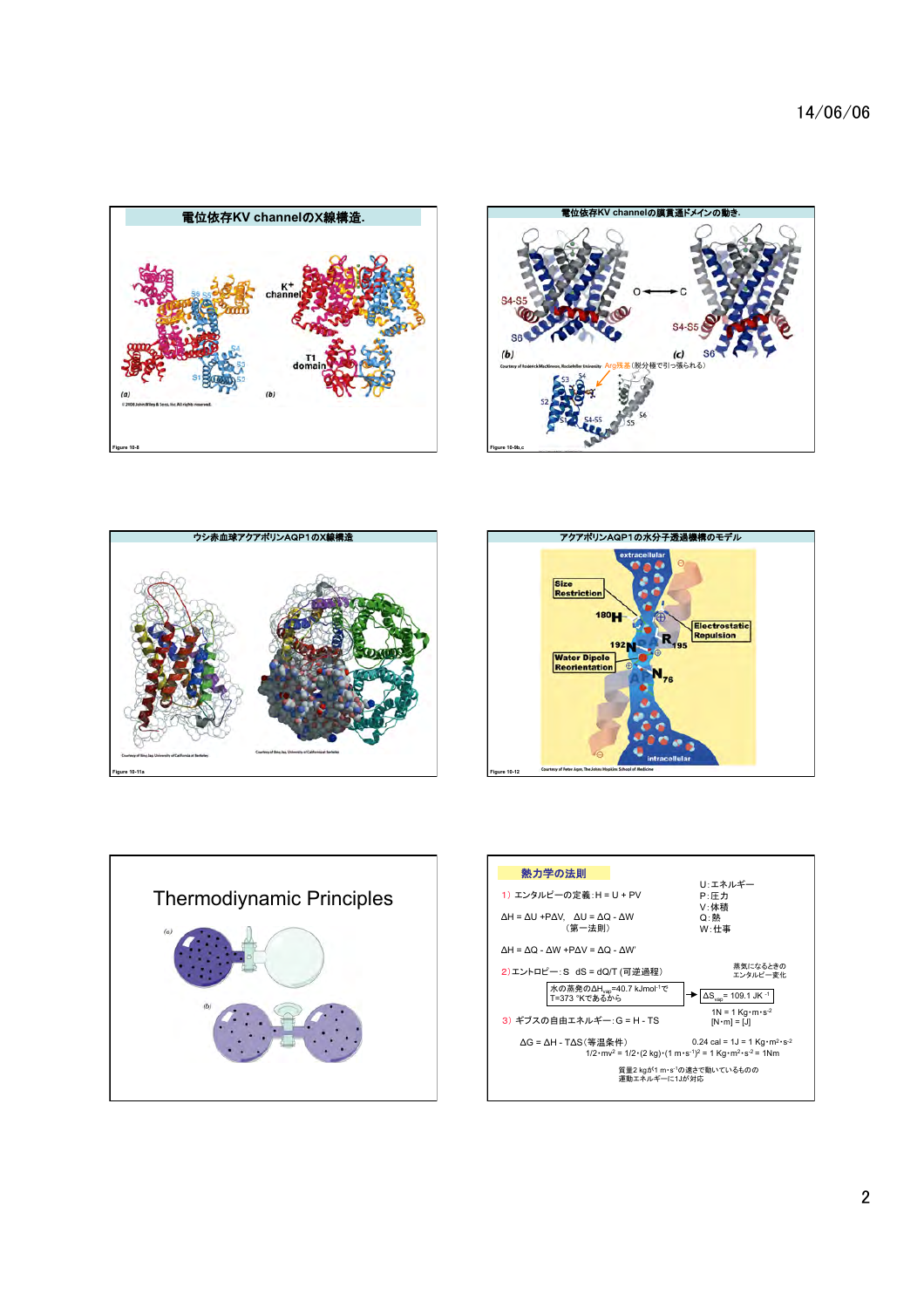